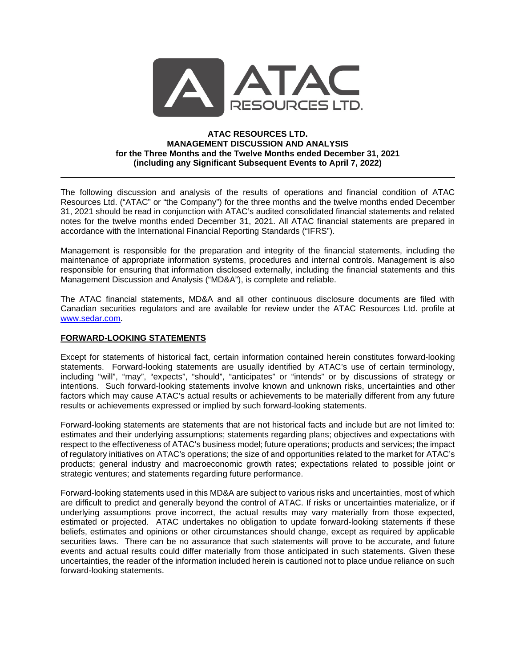

### **ATAC RESOURCES LTD. MANAGEMENT DISCUSSION AND ANALYSIS for the Three Months and the Twelve Months ended December 31, 2021 (including any Significant Subsequent Events to April 7, 2022)**

The following discussion and analysis of the results of operations and financial condition of ATAC Resources Ltd. ("ATAC" or "the Company") for the three months and the twelve months ended December 31, 2021 should be read in conjunction with ATAC's audited consolidated financial statements and related notes for the twelve months ended December 31, 2021. All ATAC financial statements are prepared in accordance with the International Financial Reporting Standards ("IFRS").

Management is responsible for the preparation and integrity of the financial statements, including the maintenance of appropriate information systems, procedures and internal controls. Management is also responsible for ensuring that information disclosed externally, including the financial statements and this Management Discussion and Analysis ("MD&A"), is complete and reliable.

The ATAC financial statements, MD&A and all other continuous disclosure documents are filed with Canadian securities regulators and are available for review under the ATAC Resources Ltd. profile at [www.sedar.com.](http://www.sedar.com/)

## **FORWARD-LOOKING STATEMENTS**

Except for statements of historical fact, certain information contained herein constitutes forward-looking statements. Forward-looking statements are usually identified by ATAC's use of certain terminology, including "will", "may", "expects", "should", "anticipates" or "intends" or by discussions of strategy or intentions. Such forward-looking statements involve known and unknown risks, uncertainties and other factors which may cause ATAC's actual results or achievements to be materially different from any future results or achievements expressed or implied by such forward-looking statements.

Forward-looking statements are statements that are not historical facts and include but are not limited to: estimates and their underlying assumptions; statements regarding plans; objectives and expectations with respect to the effectiveness of ATAC's business model; future operations; products and services; the impact of regulatory initiatives on ATAC's operations; the size of and opportunities related to the market for ATAC's products; general industry and macroeconomic growth rates; expectations related to possible joint or strategic ventures; and statements regarding future performance.

Forward-looking statements used in this MD&A are subject to various risks and uncertainties, most of which are difficult to predict and generally beyond the control of ATAC. If risks or uncertainties materialize, or if underlying assumptions prove incorrect, the actual results may vary materially from those expected, estimated or projected. ATAC undertakes no obligation to update forward-looking statements if these beliefs, estimates and opinions or other circumstances should change, except as required by applicable securities laws. There can be no assurance that such statements will prove to be accurate, and future events and actual results could differ materially from those anticipated in such statements. Given these uncertainties, the reader of the information included herein is cautioned not to place undue reliance on such forward-looking statements.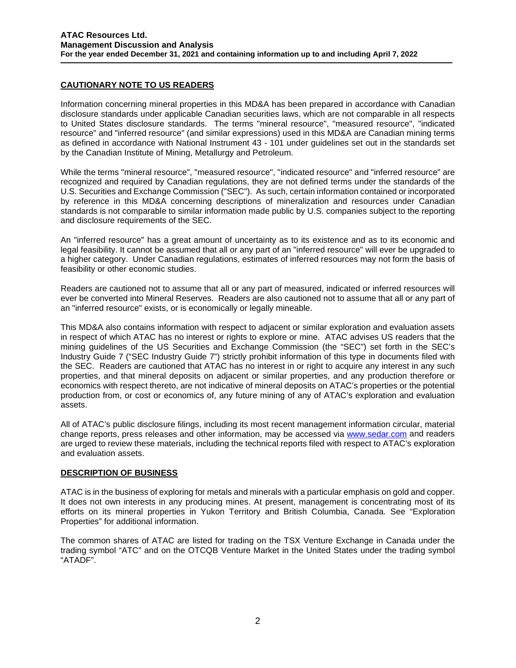# **CAUTIONARY NOTE TO US READERS**

Information concerning mineral properties in this MD&A has been prepared in accordance with Canadian disclosure standards under applicable Canadian securities laws, which are not comparable in all respects to United States disclosure standards. The terms "mineral resource", "measured resource", "indicated resource" and "inferred resource" (and similar expressions) used in this MD&A are Canadian mining terms as defined in accordance with National Instrument 43 - 101 under guidelines set out in the standards set by the Canadian Institute of Mining, Metallurgy and Petroleum.

While the terms "mineral resource", "measured resource", "indicated resource" and "inferred resource" are recognized and required by Canadian regulations, they are not defined terms under the standards of the U.S. Securities and Exchange Commission ("SEC"). As such, certain information contained or incorporated by reference in this MD&A concerning descriptions of mineralization and resources under Canadian standards is not comparable to similar information made public by U.S. companies subject to the reporting and disclosure requirements of the SEC.

An "inferred resource" has a great amount of uncertainty as to its existence and as to its economic and legal feasibility. It cannot be assumed that all or any part of an "inferred resource" will ever be upgraded to a higher category. Under Canadian regulations, estimates of inferred resources may not form the basis of feasibility or other economic studies.

Readers are cautioned not to assume that all or any part of measured, indicated or inferred resources will ever be converted into Mineral Reserves. Readers are also cautioned not to assume that all or any part of an "inferred resource" exists, or is economically or legally mineable.

This MD&A also contains information with respect to adjacent or similar exploration and evaluation assets in respect of which ATAC has no interest or rights to explore or mine. ATAC advises US readers that the mining guidelines of the US Securities and Exchange Commission (the "SEC") set forth in the SEC's Industry Guide 7 ("SEC Industry Guide 7") strictly prohibit information of this type in documents filed with the SEC. Readers are cautioned that ATAC has no interest in or right to acquire any interest in any such properties, and that mineral deposits on adjacent or similar properties, and any production therefore or economics with respect thereto, are not indicative of mineral deposits on ATAC's properties or the potential production from, or cost or economics of, any future mining of any of ATAC's exploration and evaluation assets.

All of ATAC's public disclosure filings, including its most recent management information circular, material change reports, press releases and other information, may be accessed via [www.sedar.com](http://www.sedar.com/) and readers are urged to review these materials, including the technical reports filed with respect to ATAC's exploration and evaluation assets.

# **DESCRIPTION OF BUSINESS**

ATAC is in the business of exploring for metals and minerals with a particular emphasis on gold and copper. It does not own interests in any producing mines. At present, management is concentrating most of its efforts on its mineral properties in Yukon Territory and British Columbia, Canada. See "Exploration Properties" for additional information.

The common shares of ATAC are listed for trading on the TSX Venture Exchange in Canada under the trading symbol "ATC" and on the OTCQB Venture Market in the United States under the trading symbol "ATADF".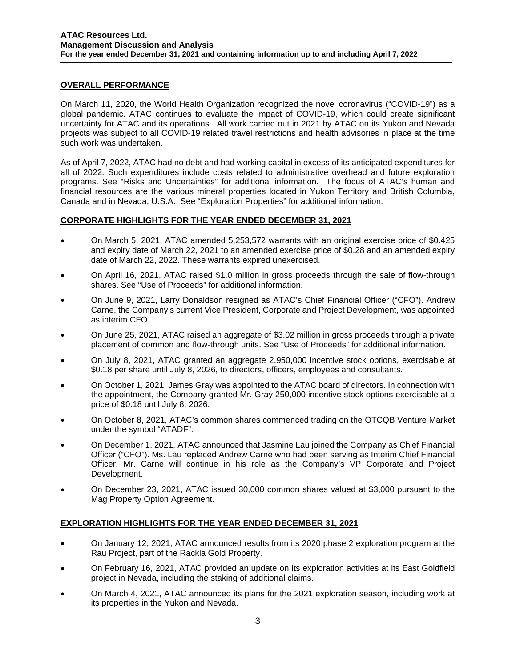## **OVERALL PERFORMANCE**

On March 11, 2020, the World Health Organization recognized the novel coronavirus ("COVID-19") as a global pandemic. ATAC continues to evaluate the impact of COVID-19, which could create significant uncertainty for ATAC and its operations. All work carried out in 2021 by ATAC on its Yukon and Nevada projects was subject to all COVID-19 related travel restrictions and health advisories in place at the time such work was undertaken.

As of April 7, 2022, ATAC had no debt and had working capital in excess of its anticipated expenditures for all of 2022. Such expenditures include costs related to administrative overhead and future exploration programs. See "Risks and Uncertainties" for additional information. The focus of ATAC's human and financial resources are the various mineral properties located in Yukon Territory and British Columbia, Canada and in Nevada, U.S.A. See "Exploration Properties" for additional information.

# **CORPORATE HIGHLIGHTS FOR THE YEAR ENDED DECEMBER 31, 2021**

- On March 5, 2021, ATAC amended 5,253,572 warrants with an original exercise price of \$0.425 and expiry date of March 22, 2021 to an amended exercise price of \$0.28 and an amended expiry date of March 22, 2022. These warrants expired unexercised.
- On April 16, 2021, ATAC raised \$1.0 million in gross proceeds through the sale of flow-through shares. See "Use of Proceeds" for additional information.
- On June 9, 2021, Larry Donaldson resigned as ATAC's Chief Financial Officer ("CFO"). Andrew Carne, the Company's current Vice President, Corporate and Project Development, was appointed as interim CFO.
- On June 25, 2021, ATAC raised an aggregate of \$3.02 million in gross proceeds through a private placement of common and flow-through units. See "Use of Proceeds" for additional information.
- On July 8, 2021, ATAC granted an aggregate 2,950,000 incentive stock options, exercisable at \$0.18 per share until July 8, 2026, to directors, officers, employees and consultants.
- On October 1, 2021, James Gray was appointed to the ATAC board of directors. In connection with the appointment, the Company granted Mr. Gray 250,000 incentive stock options exercisable at a price of \$0.18 until July 8, 2026.
- On October 8, 2021, ATAC's common shares commenced trading on the OTCQB Venture Market under the symbol "ATADF".
- On December 1, 2021, ATAC announced that Jasmine Lau joined the Company as Chief Financial Officer ("CFO"). Ms. Lau replaced Andrew Carne who had been serving as Interim Chief Financial Officer. Mr. Carne will continue in his role as the Company's VP Corporate and Project Development.
- On December 23, 2021, ATAC issued 30,000 common shares valued at \$3,000 pursuant to the Mag Property Option Agreement.

# **EXPLORATION HIGHLIGHTS FOR THE YEAR ENDED DECEMBER 31, 2021**

- On January 12, 2021, ATAC announced results from its 2020 phase 2 exploration program at the Rau Project, part of the Rackla Gold Property.
- On February 16, 2021, ATAC provided an update on its exploration activities at its East Goldfield project in Nevada, including the staking of additional claims.
- On March 4, 2021, ATAC announced its plans for the 2021 exploration season, including work at its properties in the Yukon and Nevada.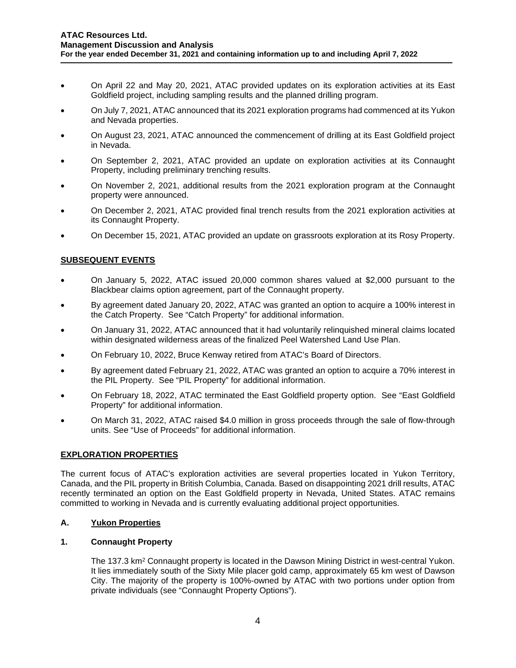- On April 22 and May 20, 2021, ATAC provided updates on its exploration activities at its East Goldfield project, including sampling results and the planned drilling program.
- On July 7, 2021, ATAC announced that its 2021 exploration programs had commenced at its Yukon and Nevada properties.
- On August 23, 2021, ATAC announced the commencement of drilling at its East Goldfield project in Nevada.
- On September 2, 2021, ATAC provided an update on exploration activities at its Connaught Property, including preliminary trenching results.
- On November 2, 2021, additional results from the 2021 exploration program at the Connaught property were announced.
- On December 2, 2021, ATAC provided final trench results from the 2021 exploration activities at its Connaught Property.
- On December 15, 2021, ATAC provided an update on grassroots exploration at its Rosy Property.

# **SUBSEQUENT EVENTS**

- On January 5, 2022, ATAC issued 20,000 common shares valued at \$2,000 pursuant to the Blackbear claims option agreement, part of the Connaught property.
- By agreement dated January 20, 2022, ATAC was granted an option to acquire a 100% interest in the Catch Property. See "Catch Property" for additional information.
- On January 31, 2022, ATAC announced that it had voluntarily relinquished mineral claims located within designated wilderness areas of the finalized Peel Watershed Land Use Plan.
- On February 10, 2022, Bruce Kenway retired from ATAC's Board of Directors.
- By agreement dated February 21, 2022, ATAC was granted an option to acquire a 70% interest in the PIL Property. See "PIL Property" for additional information.
- On February 18, 2022, ATAC terminated the East Goldfield property option. See "East Goldfield Property" for additional information.
- On March 31, 2022, ATAC raised \$4.0 million in gross proceeds through the sale of flow-through units. See "Use of Proceeds" for additional information.

### **EXPLORATION PROPERTIES**

The current focus of ATAC's exploration activities are several properties located in Yukon Territory, Canada, and the PIL property in British Columbia, Canada. Based on disappointing 2021 drill results, ATAC recently terminated an option on the East Goldfield property in Nevada, United States. ATAC remains committed to working in Nevada and is currently evaluating additional project opportunities.

### **A. Yukon Properties**

### **1. Connaught Property**

The 137.3 km<sup>2</sup> Connaught property is located in the Dawson Mining District in west-central Yukon. It lies immediately south of the Sixty Mile placer gold camp, approximately 65 km west of Dawson City. The majority of the property is 100%-owned by ATAC with two portions under option from private individuals (see "Connaught Property Options").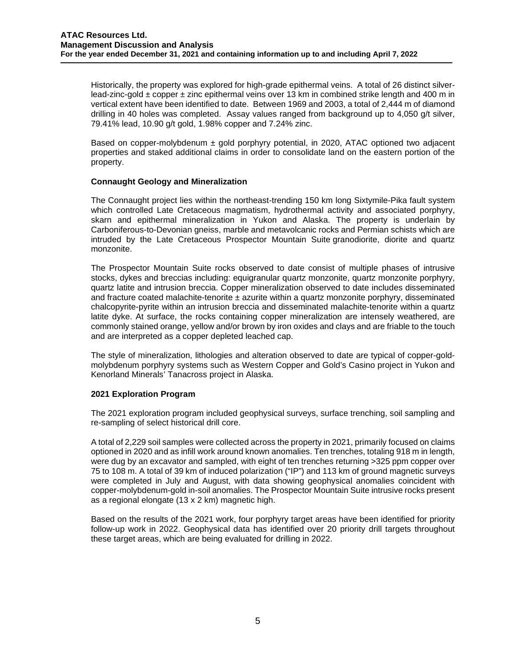Historically, the property was explored for high-grade epithermal veins. A total of 26 distinct silverlead-zinc-gold  $\pm$  copper  $\pm$  zinc epithermal veins over 13 km in combined strike length and 400 m in vertical extent have been identified to date. Between 1969 and 2003, a total of 2,444 m of diamond drilling in 40 holes was completed. Assay values ranged from background up to 4,050 g/t silver, 79.41% lead, 10.90 g/t gold, 1.98% copper and 7.24% zinc.

Based on copper-molybdenum  $\pm$  gold porphyry potential, in 2020, ATAC optioned two adjacent properties and staked additional claims in order to consolidate land on the eastern portion of the property.

## **Connaught Geology and Mineralization**

The Connaught project lies within the northeast-trending 150 km long Sixtymile-Pika fault system which controlled Late Cretaceous magmatism, hydrothermal activity and associated porphyry, skarn and epithermal mineralization in Yukon and Alaska. The property is underlain by Carboniferous-to-Devonian gneiss, marble and metavolcanic rocks and Permian schists which are intruded by the Late Cretaceous Prospector Mountain Suite granodiorite, diorite and quartz monzonite.

The Prospector Mountain Suite rocks observed to date consist of multiple phases of intrusive stocks, dykes and breccias including: equigranular quartz monzonite, quartz monzonite porphyry, quartz latite and intrusion breccia. Copper mineralization observed to date includes disseminated and fracture coated malachite-tenorite  $\pm$  azurite within a quartz monzonite porphyry, disseminated chalcopyrite-pyrite within an intrusion breccia and disseminated malachite-tenorite within a quartz latite dyke. At surface, the rocks containing copper mineralization are intensely weathered, are commonly stained orange, yellow and/or brown by iron oxides and clays and are friable to the touch and are interpreted as a copper depleted leached cap.

The style of mineralization, lithologies and alteration observed to date are typical of copper-goldmolybdenum porphyry systems such as Western Copper and Gold's Casino project in Yukon and Kenorland Minerals' Tanacross project in Alaska.

### **2021 Exploration Program**

The 2021 exploration program included geophysical surveys, surface trenching, soil sampling and re-sampling of select historical drill core.

A total of 2,229 soil samples were collected across the property in 2021, primarily focused on claims optioned in 2020 and as infill work around known anomalies. Ten trenches, totaling 918 m in length, were dug by an excavator and sampled, with eight of ten trenches returning >325 ppm copper over 75 to 108 m. A total of 39 km of induced polarization ("IP") and 113 km of ground magnetic surveys were completed in July and August, with data showing geophysical anomalies coincident with copper-molybdenum-gold in-soil anomalies. The Prospector Mountain Suite intrusive rocks present as a regional elongate (13 x 2 km) magnetic high.

Based on the results of the 2021 work, four porphyry target areas have been identified for priority follow-up work in 2022. Geophysical data has identified over 20 priority drill targets throughout these target areas, which are being evaluated for drilling in 2022.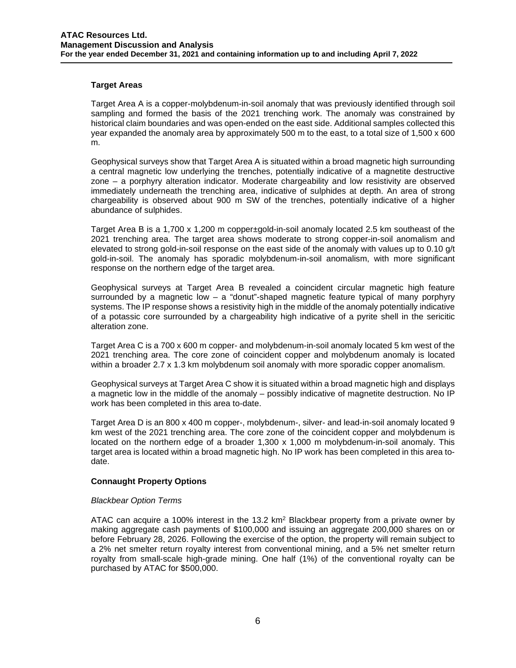### **Target Areas**

Target Area A is a copper-molybdenum-in-soil anomaly that was previously identified through soil sampling and formed the basis of the 2021 trenching work. The anomaly was constrained by historical claim boundaries and was open-ended on the east side. Additional samples collected this year expanded the anomaly area by approximately 500 m to the east, to a total size of 1,500 x 600 m.

Geophysical surveys show that Target Area A is situated within a broad magnetic high surrounding a central magnetic low underlying the trenches, potentially indicative of a magnetite destructive zone – a porphyry alteration indicator. Moderate chargeability and low resistivity are observed immediately underneath the trenching area, indicative of sulphides at depth. An area of strong chargeability is observed about 900 m SW of the trenches, potentially indicative of a higher abundance of sulphides.

Target Area B is a 1,700 x 1,200 m copper±gold-in-soil anomaly located 2.5 km southeast of the 2021 trenching area. The target area shows moderate to strong copper-in-soil anomalism and elevated to strong gold-in-soil response on the east side of the anomaly with values up to 0.10 g/t gold-in-soil. The anomaly has sporadic molybdenum-in-soil anomalism, with more significant response on the northern edge of the target area.

Geophysical surveys at Target Area B revealed a coincident circular magnetic high feature surrounded by a magnetic low  $-$  a "donut"-shaped magnetic feature typical of many porphyry systems. The IP response shows a resistivity high in the middle of the anomaly potentially indicative of a potassic core surrounded by a chargeability high indicative of a pyrite shell in the sericitic alteration zone.

Target Area C is a 700 x 600 m copper- and molybdenum-in-soil anomaly located 5 km west of the 2021 trenching area. The core zone of coincident copper and molybdenum anomaly is located within a broader 2.7 x 1.3 km molybdenum soil anomaly with more sporadic copper anomalism.

Geophysical surveys at Target Area C show it is situated within a broad magnetic high and displays a magnetic low in the middle of the anomaly – possibly indicative of magnetite destruction. No IP work has been completed in this area to-date.

Target Area D is an 800 x 400 m copper-, molybdenum-, silver- and lead-in-soil anomaly located 9 km west of the 2021 trenching area. The core zone of the coincident copper and molybdenum is located on the northern edge of a broader 1,300 x 1,000 m molybdenum-in-soil anomaly. This target area is located within a broad magnetic high. No IP work has been completed in this area todate.

### **Connaught Property Options**

#### *Blackbear Option Terms*

ATAC can acquire a 100% interest in the 13.2 km<sup>2</sup> Blackbear property from a private owner by making aggregate cash payments of \$100,000 and issuing an aggregate 200,000 shares on or before February 28, 2026. Following the exercise of the option, the property will remain subject to a 2% net smelter return royalty interest from conventional mining, and a 5% net smelter return royalty from small-scale high-grade mining. One half (1%) of the conventional royalty can be purchased by ATAC for \$500,000.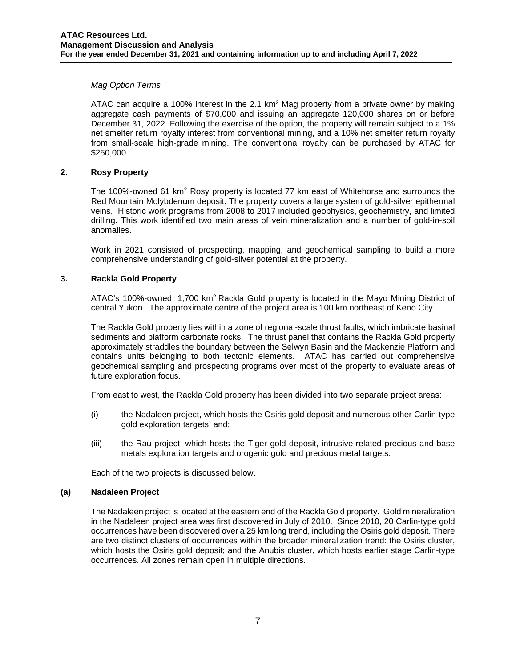### *Mag Option Terms*

ATAC can acquire a 100% interest in the 2.1 km<sup>2</sup> Mag property from a private owner by making aggregate cash payments of \$70,000 and issuing an aggregate 120,000 shares on or before December 31, 2022. Following the exercise of the option, the property will remain subject to a 1% net smelter return royalty interest from conventional mining, and a 10% net smelter return royalty from small-scale high-grade mining. The conventional royalty can be purchased by ATAC for \$250,000.

## **2. Rosy Property**

The 100%-owned 61 km2 Rosy property is located 77 km east of Whitehorse and surrounds the Red Mountain Molybdenum deposit. The property covers a large system of gold-silver epithermal veins. Historic work programs from 2008 to 2017 included geophysics, geochemistry, and limited drilling. This work identified two main areas of vein mineralization and a number of gold-in-soil anomalies.

Work in 2021 consisted of prospecting, mapping, and geochemical sampling to build a more comprehensive understanding of gold-silver potential at the property.

## **3. Rackla Gold Property**

ATAC's 100%-owned, 1,700 km2 Rackla Gold property is located in the Mayo Mining District of central Yukon. The approximate centre of the project area is 100 km northeast of Keno City.

The Rackla Gold property lies within a zone of regional-scale thrust faults, which imbricate basinal sediments and platform carbonate rocks. The thrust panel that contains the Rackla Gold property approximately straddles the boundary between the Selwyn Basin and the Mackenzie Platform and contains units belonging to both tectonic elements. ATAC has carried out comprehensive geochemical sampling and prospecting programs over most of the property to evaluate areas of future exploration focus.

From east to west, the Rackla Gold property has been divided into two separate project areas:

- (i) the Nadaleen project, which hosts the Osiris gold deposit and numerous other Carlin-type gold exploration targets; and;
- (iii) the Rau project, which hosts the Tiger gold deposit, intrusive-related precious and base metals exploration targets and orogenic gold and precious metal targets.

Each of the two projects is discussed below.

### **(a) Nadaleen Project**

The Nadaleen project is located at the eastern end of the Rackla Gold property. Gold mineralization in the Nadaleen project area was first discovered in July of 2010. Since 2010, 20 Carlin-type gold occurrences have been discovered over a 25 km long trend, including the Osiris gold deposit. There are two distinct clusters of occurrences within the broader mineralization trend: the Osiris cluster, which hosts the Osiris gold deposit; and the Anubis cluster, which hosts earlier stage Carlin-type occurrences. All zones remain open in multiple directions.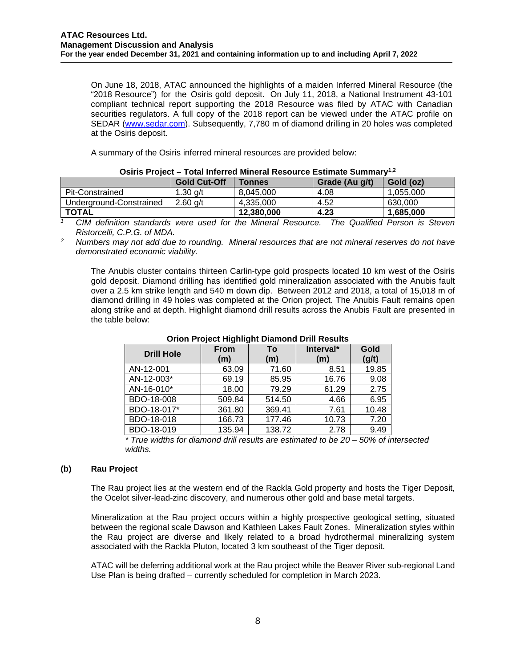On June 18, 2018, ATAC announced the highlights of a maiden Inferred Mineral Resource (the "2018 Resource") for the Osiris gold deposit. On July 11, 2018, a National Instrument 43-101 compliant technical report supporting the 2018 Resource was filed by ATAC with Canadian securities regulators. A full copy of the 2018 report can be viewed under the ATAC profile on SEDAR [\(www.sedar.com\)](http://www.sedar.com/). Subsequently, 7,780 m of diamond drilling in 20 holes was completed at the Osiris deposit.

A summary of the Osiris inferred mineral resources are provided below:

|                         | <b>Gold Cut-Off</b> | <b>Tonnes</b> | Grade (Au g/t) | Gold (oz) |
|-------------------------|---------------------|---------------|----------------|-----------|
| Pit-Constrained         | 1.30 $q/t$          | 8.045.000     | 4.08           | 1.055.000 |
| Underground-Constrained | $2.60$ a/t          | 4.335.000     | 4.52           | 630,000   |
| <b>TOTAL</b>            |                     | 12,380,000    | 4.23           | 1.685.000 |

| Osiris Project – Total Inferred Mineral Resource Estimate Summary <sup>1,2</sup> |  |
|----------------------------------------------------------------------------------|--|
|----------------------------------------------------------------------------------|--|

*<sup>1</sup> CIM definition standards were used for the Mineral Resource. The Qualified Person is Steven Ristorcelli, C.P.G. of MDA.* 

*<sup>2</sup> Numbers may not add due to rounding. Mineral resources that are not mineral reserves do not have demonstrated economic viability.* 

The Anubis cluster contains thirteen Carlin-type gold prospects located 10 km west of the Osiris gold deposit. Diamond drilling has identified gold mineralization associated with the Anubis fault over a 2.5 km strike length and 540 m down dip. Between 2012 and 2018, a total of 15,018 m of diamond drilling in 49 holes was completed at the Orion project. The Anubis Fault remains open along strike and at depth. Highlight diamond drill results across the Anubis Fault are presented in the table below:

| . . ສ. ສ          |                    |           |                  |               |  |
|-------------------|--------------------|-----------|------------------|---------------|--|
| <b>Drill Hole</b> | <b>From</b><br>(m) | To<br>(m) | Interval*<br>(m) | Gold<br>(g/t) |  |
| AN-12-001         | 63.09              | 71.60     | 8.51             | 19.85         |  |
| AN-12-003*        | 69.19              | 85.95     | 16.76            | 9.08          |  |
| AN-16-010*        | 18.00              | 79.29     | 61.29            | 2.75          |  |
| BDO-18-008        | 509.84             | 514.50    | 4.66             | 6.95          |  |
| BDO-18-017*       | 361.80             | 369.41    | 7.61             | 10.48         |  |
| BDO-18-018        | 166.73             | 177.46    | 10.73            | 7.20          |  |
| BDO-18-019        | 135.94             | 138.72    | 2.78             | 9.49          |  |

**Orion Project Highlight Diamond Drill Results**

*\* True widths for diamond drill results are estimated to be 20 – 50% of intersected widths.*

### **(b) Rau Project**

The [Rau project](http://www.atacresources.com/projects/rackla/rau-trend) lies at the western end of the Rackla Gold property and hosts the Tiger Deposit, the Ocelot silver-lead-zinc discovery, and numerous other gold and base metal targets.

Mineralization at the Rau project occurs within a highly prospective geological setting, situated between the regional scale Dawson and Kathleen Lakes Fault Zones. Mineralization styles within the Rau project are diverse and likely related to a broad hydrothermal mineralizing system associated with the Rackla Pluton, located 3 km southeast of the Tiger deposit.

ATAC will be deferring additional work at the Rau project while the Beaver River sub-regional Land Use Plan is being drafted – currently scheduled for completion in March 2023.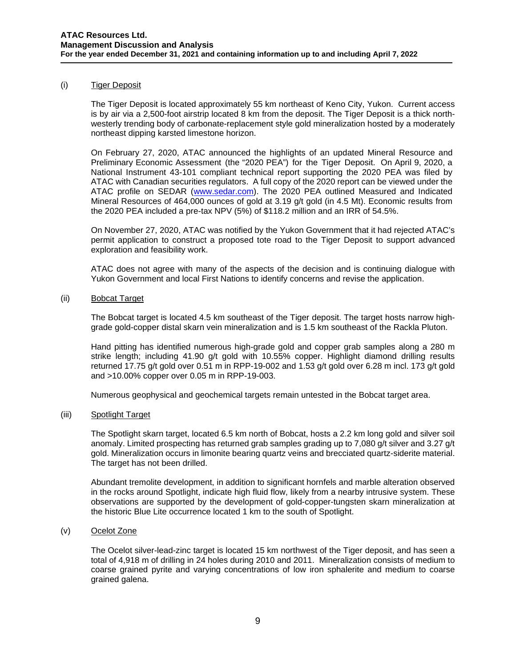#### (i) Tiger Deposit

The Tiger Deposit is located approximately 55 km northeast of Keno City, Yukon. Current access is by air via a 2,500-foot airstrip located 8 km from the deposit. The Tiger Deposit is a thick northwesterly trending body of carbonate-replacement style gold mineralization hosted by a moderately northeast dipping karsted limestone horizon.

On February 27, 2020, ATAC announced the highlights of an updated Mineral Resource and Preliminary Economic Assessment (the "2020 PEA") for the Tiger Deposit. On April 9, 2020, a National Instrument 43-101 compliant technical report supporting the 2020 PEA was filed by ATAC with Canadian securities regulators. A full copy of the 2020 report can be viewed under the ATAC profile on SEDAR [\(www.sedar.com\)](http://www.sedar.com/). The 2020 PEA outlined Measured and Indicated Mineral Resources of 464,000 ounces of gold at 3.19 g/t gold (in 4.5 Mt). Economic results from the 2020 PEA included a pre-tax NPV (5%) of \$118.2 million and an IRR of 54.5%.

On November 27, 2020, ATAC was notified by the Yukon Government that it had rejected ATAC's permit application to construct a proposed tote road to the Tiger Deposit to support advanced exploration and feasibility work.

ATAC does not agree with many of the aspects of the decision and is continuing dialogue with Yukon Government and local First Nations to identify concerns and revise the application.

(ii) Bobcat Target

The Bobcat target is located 4.5 km southeast of the Tiger deposit. The target hosts narrow highgrade gold-copper distal skarn vein mineralization and is 1.5 km southeast of the Rackla Pluton.

Hand pitting has identified numerous high-grade gold and copper grab samples along a 280 m strike length; including 41.90 g/t gold with 10.55% copper. Highlight diamond drilling results returned 17.75 g/t gold over 0.51 m in RPP-19-002 and 1.53 g/t gold over 6.28 m incl. 173 g/t gold and >10.00% copper over 0.05 m in RPP-19-003.

Numerous geophysical and geochemical targets remain untested in the Bobcat target area.

### (iii) Spotlight Target

The Spotlight skarn target, located 6.5 km north of Bobcat, hosts a 2.2 km long gold and silver soil anomaly. Limited prospecting has returned grab samples grading up to 7,080 g/t silver and 3.27 g/t gold. Mineralization occurs in limonite bearing quartz veins and brecciated quartz-siderite material. The target has not been drilled.

Abundant tremolite development, in addition to significant hornfels and marble alteration observed in the rocks around Spotlight, indicate high fluid flow, likely from a nearby intrusive system. These observations are supported by the development of gold-copper-tungsten skarn mineralization at the historic Blue Lite occurrence located 1 km to the south of Spotlight.

### (v) Ocelot Zone

The Ocelot silver-lead-zinc target is located 15 km northwest of the Tiger deposit, and has seen a total of 4,918 m of drilling in 24 holes during 2010 and 2011. Mineralization consists of medium to coarse grained pyrite and varying concentrations of low iron sphalerite and medium to coarse grained galena.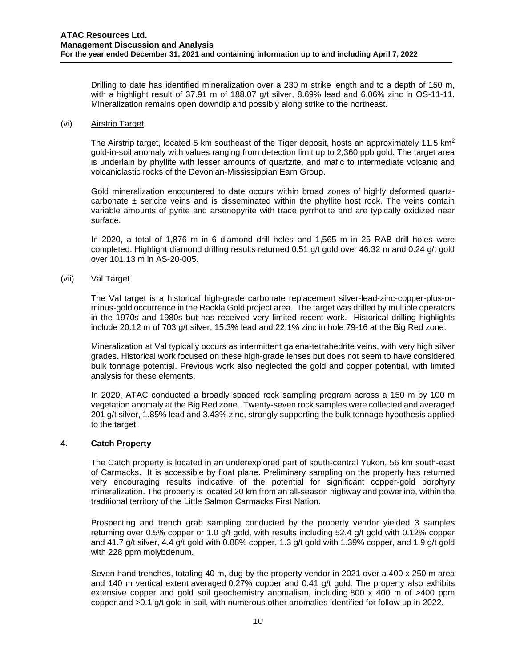Drilling to date has identified mineralization over a 230 m strike length and to a depth of 150 m, with a highlight result of 37.91 m of 188.07 g/t silver, 8.69% lead and 6.06% zinc in OS-11-11. Mineralization remains open downdip and possibly along strike to the northeast.

#### (vi) Airstrip Target

The Airstrip target, located 5 km southeast of the Tiger deposit, hosts an approximately 11.5 km<sup>2</sup> gold-in-soil anomaly with values ranging from detection limit up to 2,360 ppb gold. The target area is underlain by phyllite with lesser amounts of quartzite, and mafic to intermediate volcanic and volcaniclastic rocks of the Devonian-Mississippian Earn Group.

Gold mineralization encountered to date occurs within broad zones of highly deformed quartzcarbonate  $\pm$  sericite veins and is disseminated within the phyllite host rock. The veins contain variable amounts of pyrite and arsenopyrite with trace pyrrhotite and are typically oxidized near surface.

In 2020, a total of 1,876 m in 6 diamond drill holes and 1,565 m in 25 RAB drill holes were completed. Highlight diamond drilling results returned 0.51 g/t gold over 46.32 m and 0.24 g/t gold over 101.13 m in AS-20-005.

### (vii) Val Target

The Val target is a historical high-grade carbonate replacement silver-lead-zinc-copper-plus-orminus-gold occurrence in the Rackla Gold project area. The target was drilled by multiple operators in the 1970s and 1980s but has received very limited recent work. Historical drilling highlights include 20.12 m of 703 g/t silver, 15.3% lead and 22.1% zinc in hole 79-16 at the Big Red zone.

Mineralization at Val typically occurs as intermittent galena-tetrahedrite veins, with very high silver grades. Historical work focused on these high-grade lenses but does not seem to have considered bulk tonnage potential. Previous work also neglected the gold and copper potential, with limited analysis for these elements.

In 2020, ATAC conducted a broadly spaced rock sampling program across a 150 m by 100 m vegetation anomaly at the Big Red zone. Twenty-seven rock samples were collected and averaged 201 g/t silver, 1.85% lead and 3.43% zinc, strongly supporting the bulk tonnage hypothesis applied to the target.

### **4. Catch Property**

The Catch property is located in an underexplored part of south-central Yukon, 56 km south-east of Carmacks. It is accessible by float plane. Preliminary sampling on the property has returned very encouraging results indicative of the potential for significant copper-gold porphyry mineralization. The property is located 20 km from an all-season highway and powerline, within the traditional territory of the Little Salmon Carmacks First Nation.

Prospecting and trench grab sampling conducted by the property vendor yielded 3 samples returning over 0.5% copper or 1.0 g/t gold, with results including 52.4 g/t gold with 0.12% copper and 41.7 g/t silver, 4.4 g/t gold with 0.88% copper, 1.3 g/t gold with 1.39% copper, and 1.9 g/t gold with 228 ppm molybdenum.

Seven hand trenches, totaling 40 m, dug by the property vendor in 2021 over a 400 x 250 m area and 140 m vertical extent averaged 0.27% copper and 0.41 g/t gold. The property also exhibits extensive copper and gold soil geochemistry anomalism, including 800 x 400 m of >400 ppm copper and >0.1 g/t gold in soil, with numerous other anomalies identified for follow up in 2022.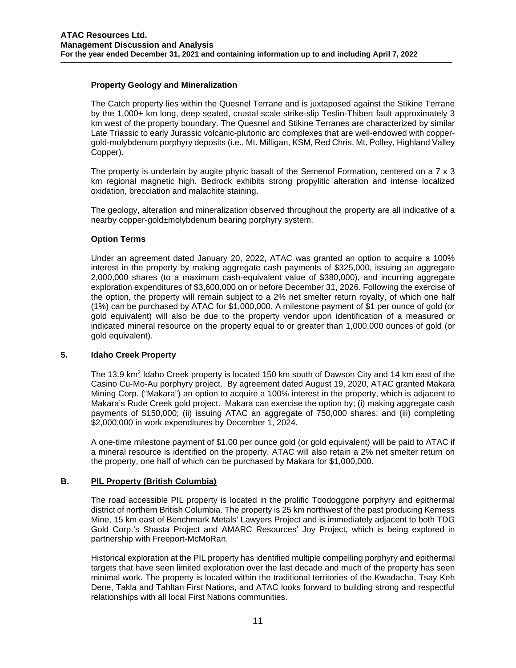### **Property Geology and Mineralization**

The Catch property lies within the Quesnel Terrane and is juxtaposed against the Stikine Terrane by the 1,000+ km long, deep seated, crustal scale strike-slip Teslin-Thibert fault approximately 3 km west of the property boundary. The Quesnel and Stikine Terranes are characterized by similar Late Triassic to early Jurassic volcanic-plutonic arc complexes that are well-endowed with coppergold-molybdenum porphyry deposits (i.e., Mt. Milligan, KSM, Red Chris, Mt. Polley, Highland Valley Copper).

The property is underlain by augite phyric basalt of the Semenof Formation, centered on a 7 x 3 km regional magnetic high. Bedrock exhibits strong propylitic alteration and intense localized oxidation, brecciation and malachite staining.

The geology, alteration and mineralization observed throughout the property are all indicative of a nearby copper-gold±molybdenum bearing porphyry system.

## **Option Terms**

Under an agreement dated January 20, 2022, ATAC was granted an option to acquire a 100% interest in the property by making aggregate cash payments of \$325,000, issuing an aggregate 2,000,000 shares (to a maximum cash-equivalent value of \$380,000), and incurring aggregate exploration expenditures of \$3,600,000 on or before December 31, 2026. Following the exercise of the option, the property will remain subject to a 2% net smelter return royalty, of which one half (1%) can be purchased by ATAC for \$1,000,000. A milestone payment of \$1 per ounce of gold (or gold equivalent) will also be due to the property vendor upon identification of a measured or indicated mineral resource on the property equal to or greater than 1,000,000 ounces of gold (or gold equivalent).

### **5. Idaho Creek Property**

The 13.9 km<sup>2</sup> Idaho Creek property is located 150 km south of Dawson City and 14 km east of the Casino Cu-Mo-Au porphyry project. By agreement dated August 19, 2020, ATAC granted Makara Mining Corp. ("Makara") an option to acquire a 100% interest in the property, which is adjacent to Makara's Rude Creek gold project. Makara can exercise the option by; (i) making aggregate cash payments of \$150,000; (ii) issuing ATAC an aggregate of 750,000 shares; and (iii) completing \$2,000,000 in work expenditures by December 1, 2024.

A one-time milestone payment of \$1.00 per ounce gold (or gold equivalent) will be paid to ATAC if a mineral resource is identified on the property. ATAC will also retain a 2% net smelter return on the property, one half of which can be purchased by Makara for \$1,000,000.

### **B. PIL Property (British Columbia)**

The road accessible PIL property is located in the prolific Toodoggone porphyry and epithermal district of northern British Columbia. The property is 25 km northwest of the past producing Kemess Mine, 15 km east of Benchmark Metals' Lawyers Project and is immediately adjacent to both TDG Gold Corp.'s Shasta Project and AMARC Resources' Joy Project, which is being explored in partnership with Freeport-McMoRan.

Historical exploration at the PIL property has identified multiple compelling porphyry and epithermal targets that have seen limited exploration over the last decade and much of the property has seen minimal work. The property is located within the traditional territories of the Kwadacha, Tsay Keh Dene, Takla and Tahltan First Nations, and ATAC looks forward to building strong and respectful relationships with all local First Nations communities.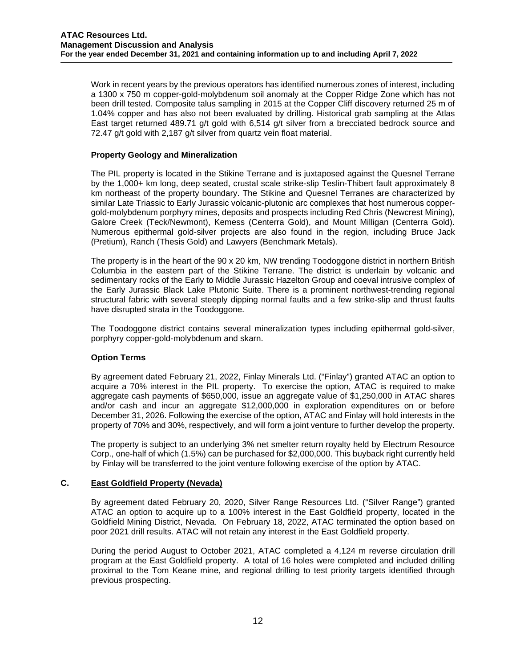Work in recent years by the previous operators has identified numerous zones of interest, including a 1300 x 750 m copper-gold-molybdenum soil anomaly at the Copper Ridge Zone which has not been drill tested. Composite talus sampling in 2015 at the Copper Cliff discovery returned 25 m of 1.04% copper and has also not been evaluated by drilling. Historical grab sampling at the Atlas East target returned 489.71 g/t gold with 6,514 g/t silver from a brecciated bedrock source and 72.47 g/t gold with 2,187 g/t silver from quartz vein float material.

### **Property Geology and Mineralization**

The PIL property is located in the Stikine Terrane and is juxtaposed against the Quesnel Terrane by the 1,000+ km long, deep seated, crustal scale strike-slip Teslin-Thibert fault approximately 8 km northeast of the property boundary. The Stikine and Quesnel Terranes are characterized by similar Late Triassic to Early Jurassic volcanic-plutonic arc complexes that host numerous coppergold-molybdenum porphyry mines, deposits and prospects including Red Chris (Newcrest Mining), Galore Creek (Teck/Newmont), Kemess (Centerra Gold), and Mount Milligan (Centerra Gold). Numerous epithermal gold-silver projects are also found in the region, including Bruce Jack (Pretium), Ranch (Thesis Gold) and Lawyers (Benchmark Metals).

The property is in the heart of the 90 x 20 km, NW trending Toodoggone district in northern British Columbia in the eastern part of the Stikine Terrane. The district is underlain by volcanic and sedimentary rocks of the Early to Middle Jurassic Hazelton Group and coeval intrusive complex of the Early Jurassic Black Lake Plutonic Suite. There is a prominent northwest-trending regional structural fabric with several steeply dipping normal faults and a few strike-slip and thrust faults have disrupted strata in the Toodoggone.

The Toodoggone district contains several mineralization types including epithermal gold-silver, porphyry copper-gold-molybdenum and skarn.

### **Option Terms**

By agreement dated February 21, 2022, Finlay Minerals Ltd. ("Finlay") granted ATAC an option to acquire a 70% interest in the PIL property. To exercise the option, ATAC is required to make aggregate cash payments of \$650,000, issue an aggregate value of \$1,250,000 in ATAC shares and/or cash and incur an aggregate \$12,000,000 in exploration expenditures on or before December 31, 2026. Following the exercise of the option, ATAC and Finlay will hold interests in the property of 70% and 30%, respectively, and will form a joint venture to further develop the property.

The property is subject to an underlying 3% net smelter return royalty held by Electrum Resource Corp., one-half of which (1.5%) can be purchased for \$2,000,000. This buyback right currently held by Finlay will be transferred to the joint venture following exercise of the option by ATAC.

### **C. East Goldfield Property (Nevada)**

By agreement dated February 20, 2020, Silver Range Resources Ltd. ("Silver Range") granted ATAC an option to acquire up to a 100% interest in the East Goldfield property, located in the Goldfield Mining District, Nevada. On February 18, 2022, ATAC terminated the option based on poor 2021 drill results. ATAC will not retain any interest in the East Goldfield property.

During the period August to October 2021, ATAC completed a 4,124 m reverse circulation drill program at the East Goldfield property. A total of 16 holes were completed and included drilling proximal to the Tom Keane mine, and regional drilling to test priority targets identified through previous prospecting.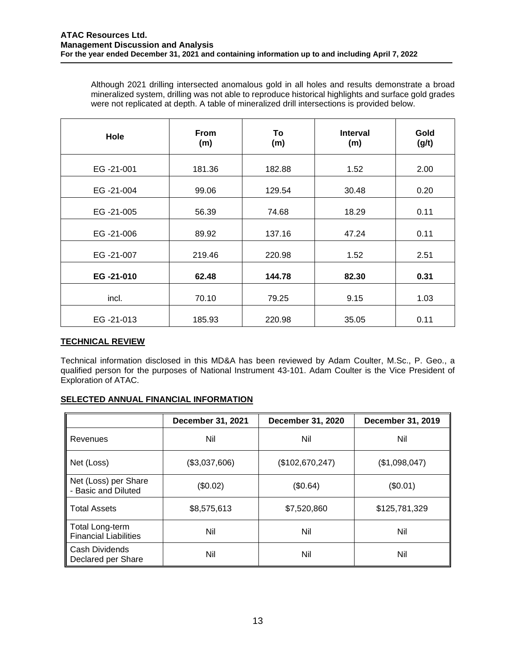Although 2021 drilling intersected anomalous gold in all holes and results demonstrate a broad mineralized system, drilling was not able to reproduce historical highlights and surface gold grades were not replicated at depth. A table of mineralized drill intersections is provided below.

| Hole      | From<br>(m) | To<br>(m) | <b>Interval</b><br>(m) | Gold<br>(g/t) |
|-----------|-------------|-----------|------------------------|---------------|
| EG-21-001 | 181.36      | 182.88    | 1.52                   | 2.00          |
| EG-21-004 | 99.06       | 129.54    | 30.48                  | 0.20          |
| EG-21-005 | 56.39       | 74.68     | 18.29                  | 0.11          |
| EG-21-006 | 89.92       | 137.16    | 47.24                  | 0.11          |
| EG-21-007 | 219.46      | 220.98    | 1.52                   | 2.51          |
| EG-21-010 | 62.48       | 144.78    | 82.30                  | 0.31          |
| incl.     | 70.10       | 79.25     | 9.15                   | 1.03          |
| EG-21-013 | 185.93      | 220.98    | 35.05                  | 0.11          |

# **TECHNICAL REVIEW**

Technical information disclosed in this MD&A has been reviewed by Adam Coulter, M.Sc., P. Geo., a qualified person for the purposes of National Instrument 43-101. Adam Coulter is the Vice President of Exploration of ATAC.

# **SELECTED ANNUAL FINANCIAL INFORMATION**

|                                                 | December 31, 2021 | December 31, 2020 | December 31, 2019 |
|-------------------------------------------------|-------------------|-------------------|-------------------|
| Revenues                                        | Nil               | Nil               | Nil               |
| Net (Loss)                                      | (\$3,037,606)     | (\$102,670,247)   | (\$1,098,047)     |
| Net (Loss) per Share<br>- Basic and Diluted     | (\$0.02)          | (\$0.64)          | (\$0.01)          |
| <b>Total Assets</b>                             | \$8,575,613       | \$7,520,860       | \$125,781,329     |
| Total Long-term<br><b>Financial Liabilities</b> | Nil               | Nil               | Nil               |
| Cash Dividends<br>Declared per Share            | Nil               | Nil               | Nil               |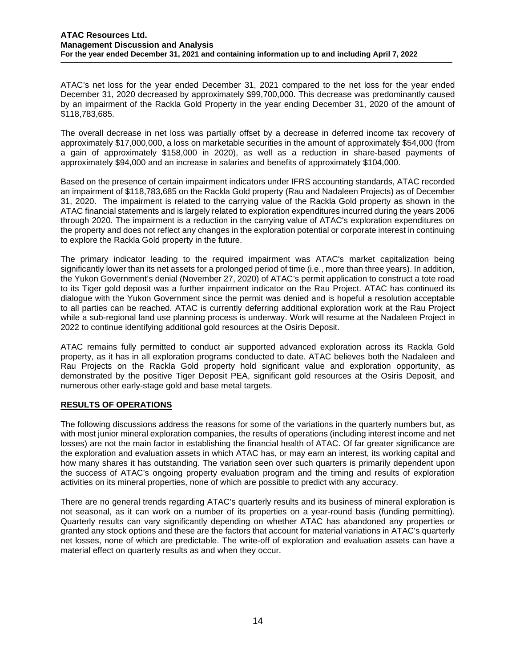ATAC's net loss for the year ended December 31, 2021 compared to the net loss for the year ended December 31, 2020 decreased by approximately \$99,700,000. This decrease was predominantly caused by an impairment of the Rackla Gold Property in the year ending December 31, 2020 of the amount of \$118,783,685.

The overall decrease in net loss was partially offset by a decrease in deferred income tax recovery of approximately \$17,000,000, a loss on marketable securities in the amount of approximately \$54,000 (from a gain of approximately \$158,000 in 2020), as well as a reduction in share-based payments of approximately \$94,000 and an increase in salaries and benefits of approximately \$104,000.

Based on the presence of certain impairment indicators under IFRS accounting standards, ATAC recorded an impairment of \$118,783,685 on the Rackla Gold property (Rau and Nadaleen Projects) as of December 31, 2020. The impairment is related to the carrying value of the Rackla Gold property as shown in the ATAC financial statements and is largely related to exploration expenditures incurred during the years 2006 through 2020. The impairment is a reduction in the carrying value of ATAC's exploration expenditures on the property and does not reflect any changes in the exploration potential or corporate interest in continuing to explore the Rackla Gold property in the future.

The primary indicator leading to the required impairment was ATAC's market capitalization being significantly lower than its net assets for a prolonged period of time (i.e., more than three years). In addition, the Yukon Government's denial (November 27, 2020) of ATAC's permit application to construct a tote road to its Tiger gold deposit was a further impairment indicator on the Rau Project. ATAC has continued its dialogue with the Yukon Government since the permit was denied and is hopeful a resolution acceptable to all parties can be reached. ATAC is currently deferring additional exploration work at the Rau Project while a sub-regional land use planning process is underway. Work will resume at the Nadaleen Project in 2022 to continue identifying additional gold resources at the Osiris Deposit.

ATAC remains fully permitted to conduct air supported advanced exploration across its Rackla Gold property, as it has in all exploration programs conducted to date. ATAC believes both the Nadaleen and Rau Projects on the Rackla Gold property hold significant value and exploration opportunity, as demonstrated by the positive Tiger Deposit PEA, significant gold resources at the Osiris Deposit, and numerous other early-stage gold and base metal targets.

# **RESULTS OF OPERATIONS**

The following discussions address the reasons for some of the variations in the quarterly numbers but, as with most junior mineral exploration companies, the results of operations (including interest income and net losses) are not the main factor in establishing the financial health of ATAC. Of far greater significance are the exploration and evaluation assets in which ATAC has, or may earn an interest, its working capital and how many shares it has outstanding. The variation seen over such quarters is primarily dependent upon the success of ATAC's ongoing property evaluation program and the timing and results of exploration activities on its mineral properties, none of which are possible to predict with any accuracy.

There are no general trends regarding ATAC's quarterly results and its business of mineral exploration is not seasonal, as it can work on a number of its properties on a year-round basis (funding permitting). Quarterly results can vary significantly depending on whether ATAC has abandoned any properties or granted any stock options and these are the factors that account for material variations in ATAC's quarterly net losses, none of which are predictable. The write-off of exploration and evaluation assets can have a material effect on quarterly results as and when they occur.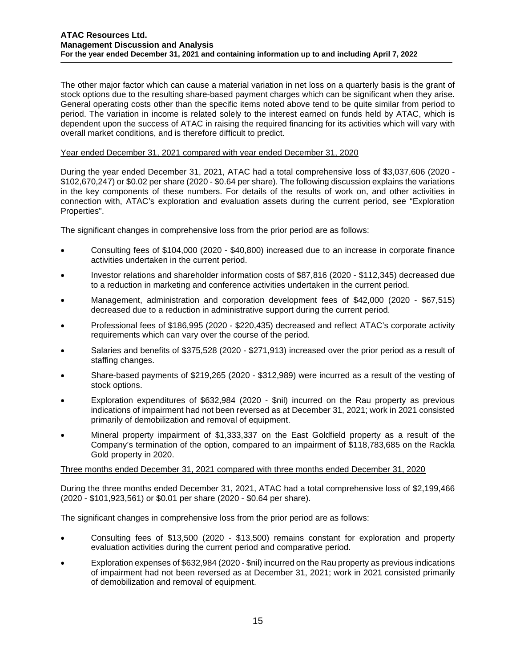The other major factor which can cause a material variation in net loss on a quarterly basis is the grant of stock options due to the resulting share-based payment charges which can be significant when they arise. General operating costs other than the specific items noted above tend to be quite similar from period to period. The variation in income is related solely to the interest earned on funds held by ATAC, which is dependent upon the success of ATAC in raising the required financing for its activities which will vary with overall market conditions, and is therefore difficult to predict.

### Year ended December 31, 2021 compared with year ended December 31, 2020

During the year ended December 31, 2021, ATAC had a total comprehensive loss of \$3,037,606 (2020 - \$102,670,247) or \$0.02 per share (2020 - \$0.64 per share). The following discussion explains the variations in the key components of these numbers. For details of the results of work on, and other activities in connection with, ATAC's exploration and evaluation assets during the current period, see "Exploration Properties".

The significant changes in comprehensive loss from the prior period are as follows:

- Consulting fees of \$104,000 (2020 \$40,800) increased due to an increase in corporate finance activities undertaken in the current period.
- Investor relations and shareholder information costs of \$87,816 (2020 \$112,345) decreased due to a reduction in marketing and conference activities undertaken in the current period.
- Management, administration and corporation development fees of \$42,000 (2020 \$67,515) decreased due to a reduction in administrative support during the current period.
- Professional fees of \$186,995 (2020 \$220,435) decreased and reflect ATAC's corporate activity requirements which can vary over the course of the period.
- Salaries and benefits of \$375,528 (2020 \$271,913) increased over the prior period as a result of staffing changes.
- Share-based payments of \$219,265 (2020 \$312,989) were incurred as a result of the vesting of stock options.
- Exploration expenditures of \$632,984 (2020 \$nil) incurred on the Rau property as previous indications of impairment had not been reversed as at December 31, 2021; work in 2021 consisted primarily of demobilization and removal of equipment.
- Mineral property impairment of \$1,333,337 on the East Goldfield property as a result of the Company's termination of the option, compared to an impairment of \$118,783,685 on the Rackla Gold property in 2020.

### Three months ended December 31, 2021 compared with three months ended December 31, 2020

During the three months ended December 31, 2021, ATAC had a total comprehensive loss of \$2,199,466 (2020 - \$101,923,561) or \$0.01 per share (2020 - \$0.64 per share).

The significant changes in comprehensive loss from the prior period are as follows:

- Consulting fees of \$13,500 (2020 \$13,500) remains constant for exploration and property evaluation activities during the current period and comparative period.
- Exploration expenses of \$632,984 (2020 \$nil) incurred on the Rau property as previous indications of impairment had not been reversed as at December 31, 2021; work in 2021 consisted primarily of demobilization and removal of equipment.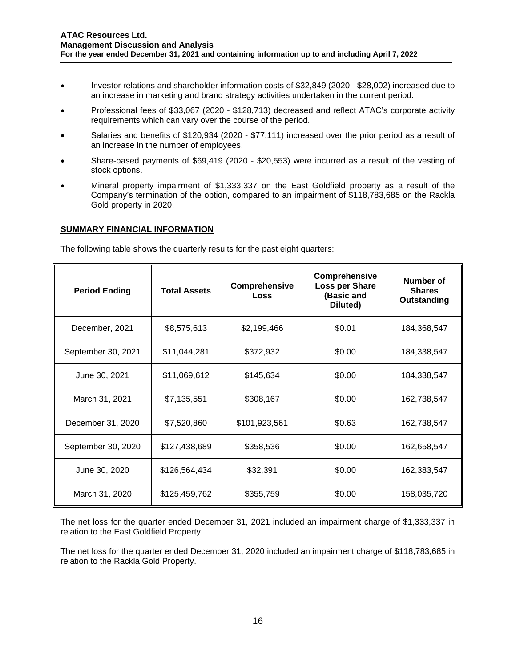- Investor relations and shareholder information costs of \$32,849 (2020 \$28,002) increased due to an increase in marketing and brand strategy activities undertaken in the current period.
- Professional fees of \$33,067 (2020 \$128,713) decreased and reflect ATAC's corporate activity requirements which can vary over the course of the period.
- Salaries and benefits of \$120,934 (2020 \$77,111) increased over the prior period as a result of an increase in the number of employees.
- Share-based payments of \$69,419 (2020 \$20,553) were incurred as a result of the vesting of stock options.
- Mineral property impairment of \$1,333,337 on the East Goldfield property as a result of the Company's termination of the option, compared to an impairment of \$118,783,685 on the Rackla Gold property in 2020.

## **SUMMARY FINANCIAL INFORMATION**

The following table shows the quarterly results for the past eight quarters:

| <b>Period Ending</b> | <b>Total Assets</b> | Comprehensive<br>Loss | <b>Comprehensive</b><br>Loss per Share<br>(Basic and<br>Diluted) | Number of<br><b>Shares</b><br>Outstanding |
|----------------------|---------------------|-----------------------|------------------------------------------------------------------|-------------------------------------------|
| December, 2021       | \$8,575,613         | \$2,199,466           | \$0.01                                                           | 184,368,547                               |
| September 30, 2021   | \$11,044,281        | \$372,932             | \$0.00                                                           | 184,338,547                               |
| June 30, 2021        | \$11,069,612        | \$145,634             | \$0.00                                                           | 184,338,547                               |
| March 31, 2021       | \$7,135,551         | \$308,167             | \$0.00                                                           | 162,738,547                               |
| December 31, 2020    | \$7,520,860         | \$101,923,561         | \$0.63                                                           | 162,738,547                               |
| September 30, 2020   | \$127,438,689       | \$358,536             | \$0.00                                                           | 162,658,547                               |
| June 30, 2020        | \$126,564,434       | \$32,391              | \$0.00                                                           | 162,383,547                               |
| March 31, 2020       | \$125,459,762       | \$355,759             | \$0.00                                                           | 158,035,720                               |

The net loss for the quarter ended December 31, 2021 included an impairment charge of \$1,333,337 in relation to the East Goldfield Property.

The net loss for the quarter ended December 31, 2020 included an impairment charge of \$118,783,685 in relation to the Rackla Gold Property.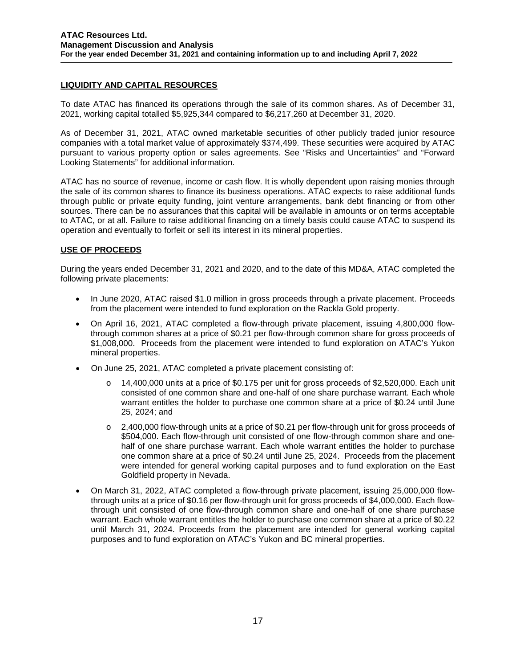# **LIQUIDITY AND CAPITAL RESOURCES**

To date ATAC has financed its operations through the sale of its common shares. As of December 31, 2021, working capital totalled \$5,925,344 compared to \$6,217,260 at December 31, 2020.

As of December 31, 2021, ATAC owned marketable securities of other publicly traded junior resource companies with a total market value of approximately \$374,499. These securities were acquired by ATAC pursuant to various property option or sales agreements. See "Risks and Uncertainties" and "Forward Looking Statements" for additional information.

ATAC has no source of revenue, income or cash flow. It is wholly dependent upon raising monies through the sale of its common shares to finance its business operations. ATAC expects to raise additional funds through public or private equity funding, joint venture arrangements, bank debt financing or from other sources. There can be no assurances that this capital will be available in amounts or on terms acceptable to ATAC, or at all. Failure to raise additional financing on a timely basis could cause ATAC to suspend its operation and eventually to forfeit or sell its interest in its mineral properties.

# **USE OF PROCEEDS**

During the years ended December 31, 2021 and 2020, and to the date of this MD&A, ATAC completed the following private placements:

- In June 2020, ATAC raised \$1.0 million in gross proceeds through a private placement. Proceeds from the placement were intended to fund exploration on the Rackla Gold property.
- On April 16, 2021, ATAC completed a flow-through private placement, issuing 4,800,000 flowthrough common shares at a price of \$0.21 per flow-through common share for gross proceeds of \$1,008,000. Proceeds from the placement were intended to fund exploration on ATAC's Yukon mineral properties.
- On June 25, 2021, ATAC completed a private placement consisting of:
	- 14,400,000 units at a price of \$0,175 per unit for gross proceeds of \$2,520,000. Each unit consisted of one common share and one-half of one share purchase warrant. Each whole warrant entitles the holder to purchase one common share at a price of \$0.24 until June 25, 2024; and
	- o 2,400,000 flow-through units at a price of \$0.21 per flow-through unit for gross proceeds of \$504,000. Each flow-through unit consisted of one flow-through common share and onehalf of one share purchase warrant. Each whole warrant entitles the holder to purchase one common share at a price of \$0.24 until June 25, 2024. Proceeds from the placement were intended for general working capital purposes and to fund exploration on the East Goldfield property in Nevada.
- On March 31, 2022, ATAC completed a flow-through private placement, issuing 25,000,000 flowthrough units at a price of \$0.16 per flow-through unit for gross proceeds of \$4,000,000. Each flowthrough unit consisted of one flow-through common share and one-half of one share purchase warrant. Each whole warrant entitles the holder to purchase one common share at a price of \$0.22 until March 31, 2024. Proceeds from the placement are intended for general working capital purposes and to fund exploration on ATAC's Yukon and BC mineral properties.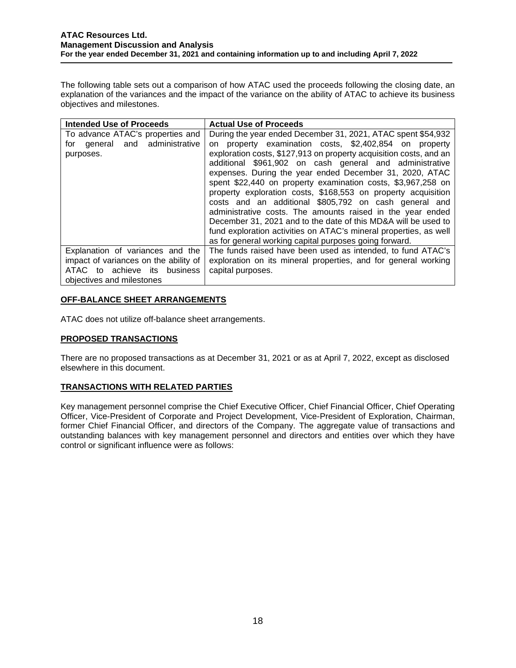The following table sets out a comparison of how ATAC used the proceeds following the closing date, an explanation of the variances and the impact of the variance on the ability of ATAC to achieve its business objectives and milestones.

| <b>Intended Use of Proceeds</b>       | <b>Actual Use of Proceeds</b>                                      |  |  |  |
|---------------------------------------|--------------------------------------------------------------------|--|--|--|
| To advance ATAC's properties and      | During the year ended December 31, 2021, ATAC spent \$54,932       |  |  |  |
| general and administrative<br>for     | property examination costs, \$2,402,854 on property<br>on          |  |  |  |
| purposes.                             | exploration costs, \$127,913 on property acquisition costs, and an |  |  |  |
|                                       | additional \$961,902 on cash general and administrative            |  |  |  |
|                                       | expenses. During the year ended December 31, 2020, ATAC            |  |  |  |
|                                       | spent \$22,440 on property examination costs, \$3,967,258 on       |  |  |  |
|                                       | property exploration costs, \$168,553 on property acquisition      |  |  |  |
|                                       | costs and an additional \$805,792 on cash general and              |  |  |  |
|                                       | administrative costs. The amounts raised in the year ended         |  |  |  |
|                                       | December 31, 2021 and to the date of this MD&A will be used to     |  |  |  |
|                                       | fund exploration activities on ATAC's mineral properties, as well  |  |  |  |
|                                       | as for general working capital purposes going forward.             |  |  |  |
| Explanation of variances and the      | The funds raised have been used as intended, to fund ATAC's        |  |  |  |
| impact of variances on the ability of | exploration on its mineral properties, and for general working     |  |  |  |
| ATAC to achieve its business          | capital purposes.                                                  |  |  |  |
| objectives and milestones             |                                                                    |  |  |  |

## **OFF-BALANCE SHEET ARRANGEMENTS**

ATAC does not utilize off-balance sheet arrangements.

# **PROPOSED TRANSACTIONS**

There are no proposed transactions as at December 31, 2021 or as at April 7, 2022, except as disclosed elsewhere in this document.

### **TRANSACTIONS WITH RELATED PARTIES**

Key management personnel comprise the Chief Executive Officer, Chief Financial Officer, Chief Operating Officer, Vice-President of Corporate and Project Development, Vice-President of Exploration, Chairman, former Chief Financial Officer, and directors of the Company. The aggregate value of transactions and outstanding balances with key management personnel and directors and entities over which they have control or significant influence were as follows: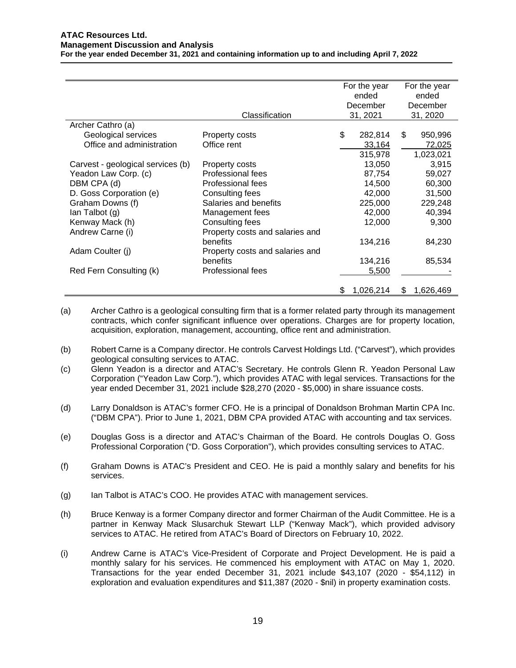|                                   |                                 | For the year<br>ended |           | For the year<br>ended |           |
|-----------------------------------|---------------------------------|-----------------------|-----------|-----------------------|-----------|
|                                   |                                 |                       | December  |                       | December  |
|                                   |                                 |                       |           |                       |           |
|                                   | Classification                  |                       | 31, 2021  |                       | 31, 2020  |
| Archer Cathro (a)                 |                                 |                       |           |                       |           |
| Geological services               | Property costs                  | \$                    | 282,814   | \$                    | 950,996   |
| Office and administration         | Office rent                     |                       | 33,164    |                       | 72,025    |
|                                   |                                 |                       | 315,978   |                       | 1,023,021 |
| Carvest - geological services (b) | Property costs                  |                       | 13,050    |                       | 3,915     |
| Yeadon Law Corp. (c)              | Professional fees               |                       | 87,754    |                       | 59,027    |
| DBM CPA (d)                       | Professional fees               |                       | 14,500    |                       | 60,300    |
| D. Goss Corporation (e)           | Consulting fees                 |                       | 42,000    |                       | 31,500    |
| Graham Downs (f)                  | Salaries and benefits           |                       | 225,000   |                       | 229,248   |
| lan Talbot (g)                    | Management fees                 |                       | 42,000    |                       | 40,394    |
| Kenway Mack (h)                   | Consulting fees                 |                       | 12,000    |                       | 9,300     |
| Andrew Carne (i)                  | Property costs and salaries and |                       |           |                       |           |
|                                   | benefits                        |                       | 134,216   |                       | 84,230    |
| Adam Coulter (j)                  | Property costs and salaries and |                       |           |                       |           |
|                                   | benefits                        |                       | 134,216   |                       | 85,534    |
| Red Fern Consulting (k)           | Professional fees               |                       | 5,500     |                       |           |
|                                   |                                 |                       |           |                       |           |
|                                   |                                 | S                     | 1,026,214 | \$                    | 1,626,469 |

- (a) Archer Cathro is a geological consulting firm that is a former related party through its management contracts, which confer significant influence over operations. Charges are for property location, acquisition, exploration, management, accounting, office rent and administration.
- (b) Robert Carne is a Company director. He controls Carvest Holdings Ltd. ("Carvest"), which provides geological consulting services to ATAC.
- (c) Glenn Yeadon is a director and ATAC's Secretary. He controls Glenn R. Yeadon Personal Law Corporation ("Yeadon Law Corp."), which provides ATAC with legal services. Transactions for the year ended December 31, 2021 include \$28,270 (2020 - \$5,000) in share issuance costs.
- (d) Larry Donaldson is ATAC's former CFO. He is a principal of Donaldson Brohman Martin CPA Inc. ("DBM CPA"). Prior to June 1, 2021, DBM CPA provided ATAC with accounting and tax services.
- (e) Douglas Goss is a director and ATAC's Chairman of the Board. He controls Douglas O. Goss Professional Corporation ("D. Goss Corporation"), which provides consulting services to ATAC.
- (f) Graham Downs is ATAC's President and CEO. He is paid a monthly salary and benefits for his services.
- (g) Ian Talbot is ATAC's COO. He provides ATAC with management services.
- (h) Bruce Kenway is a former Company director and former Chairman of the Audit Committee. He is a partner in Kenway Mack Slusarchuk Stewart LLP ("Kenway Mack"), which provided advisory services to ATAC. He retired from ATAC's Board of Directors on February 10, 2022.
- (i) Andrew Carne is ATAC's Vice-President of Corporate and Project Development. He is paid a monthly salary for his services. He commenced his employment with ATAC on May 1, 2020. Transactions for the year ended December 31, 2021 include \$43,107 (2020 - \$54,112) in exploration and evaluation expenditures and \$11,387 (2020 - \$nil) in property examination costs.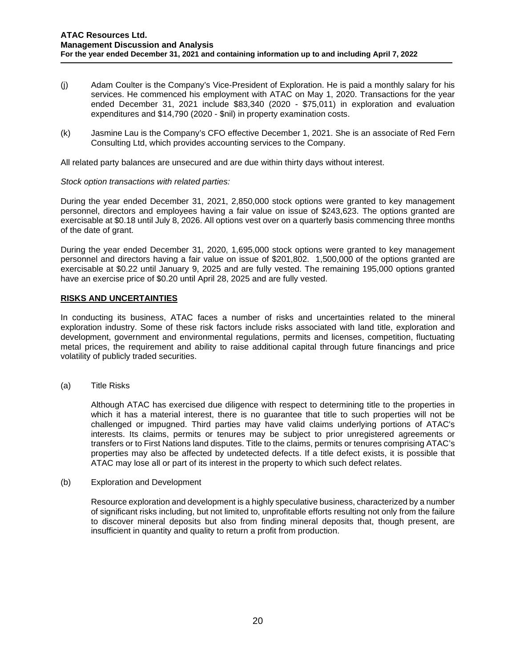- (j) Adam Coulter is the Company's Vice-President of Exploration. He is paid a monthly salary for his services. He commenced his employment with ATAC on May 1, 2020. Transactions for the year ended December 31, 2021 include \$83,340 (2020 - \$75,011) in exploration and evaluation expenditures and \$14,790 (2020 - \$nil) in property examination costs.
- (k) Jasmine Lau is the Company's CFO effective December 1, 2021. She is an associate of Red Fern Consulting Ltd, which provides accounting services to the Company.

All related party balances are unsecured and are due within thirty days without interest.

## *Stock option transactions with related parties:*

During the year ended December 31, 2021, 2,850,000 stock options were granted to key management personnel, directors and employees having a fair value on issue of \$243,623. The options granted are exercisable at \$0.18 until July 8, 2026. All options vest over on a quarterly basis commencing three months of the date of grant.

During the year ended December 31, 2020, 1,695,000 stock options were granted to key management personnel and directors having a fair value on issue of \$201,802. 1,500,000 of the options granted are exercisable at \$0.22 until January 9, 2025 and are fully vested. The remaining 195,000 options granted have an exercise price of \$0.20 until April 28, 2025 and are fully vested.

## **RISKS AND UNCERTAINTIES**

In conducting its business, ATAC faces a number of risks and uncertainties related to the mineral exploration industry. Some of these risk factors include risks associated with land title, exploration and development, government and environmental regulations, permits and licenses, competition, fluctuating metal prices, the requirement and ability to raise additional capital through future financings and price volatility of publicly traded securities.

(a) Title Risks

Although ATAC has exercised due diligence with respect to determining title to the properties in which it has a material interest, there is no guarantee that title to such properties will not be challenged or impugned. Third parties may have valid claims underlying portions of ATAC's interests. Its claims, permits or tenures may be subject to prior unregistered agreements or transfers or to First Nations land disputes. Title to the claims, permits or tenures comprising ATAC's properties may also be affected by undetected defects. If a title defect exists, it is possible that ATAC may lose all or part of its interest in the property to which such defect relates.

(b) Exploration and Development

Resource exploration and development is a highly speculative business, characterized by a number of significant risks including, but not limited to, unprofitable efforts resulting not only from the failure to discover mineral deposits but also from finding mineral deposits that, though present, are insufficient in quantity and quality to return a profit from production.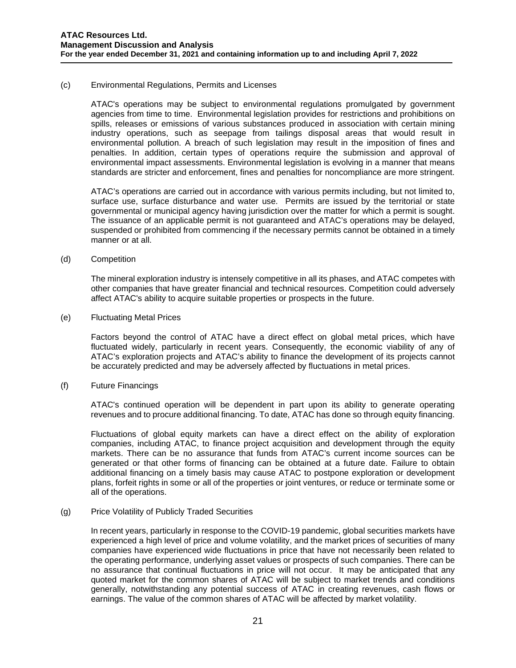### (c) Environmental Regulations, Permits and Licenses

ATAC's operations may be subject to environmental regulations promulgated by government agencies from time to time. Environmental legislation provides for restrictions and prohibitions on spills, releases or emissions of various substances produced in association with certain mining industry operations, such as seepage from tailings disposal areas that would result in environmental pollution. A breach of such legislation may result in the imposition of fines and penalties. In addition, certain types of operations require the submission and approval of environmental impact assessments. Environmental legislation is evolving in a manner that means standards are stricter and enforcement, fines and penalties for noncompliance are more stringent.

ATAC's operations are carried out in accordance with various permits including, but not limited to, surface use, surface disturbance and water use. Permits are issued by the territorial or state governmental or municipal agency having jurisdiction over the matter for which a permit is sought. The issuance of an applicable permit is not guaranteed and ATAC's operations may be delayed, suspended or prohibited from commencing if the necessary permits cannot be obtained in a timely manner or at all.

#### (d) Competition

The mineral exploration industry is intensely competitive in all its phases, and ATAC competes with other companies that have greater financial and technical resources. Competition could adversely affect ATAC's ability to acquire suitable properties or prospects in the future.

#### (e) Fluctuating Metal Prices

Factors beyond the control of ATAC have a direct effect on global metal prices, which have fluctuated widely, particularly in recent years. Consequently, the economic viability of any of ATAC's exploration projects and ATAC's ability to finance the development of its projects cannot be accurately predicted and may be adversely affected by fluctuations in metal prices.

### (f) Future Financings

ATAC's continued operation will be dependent in part upon its ability to generate operating revenues and to procure additional financing. To date, ATAC has done so through equity financing.

Fluctuations of global equity markets can have a direct effect on the ability of exploration companies, including ATAC, to finance project acquisition and development through the equity markets. There can be no assurance that funds from ATAC's current income sources can be generated or that other forms of financing can be obtained at a future date. Failure to obtain additional financing on a timely basis may cause ATAC to postpone exploration or development plans, forfeit rights in some or all of the properties or joint ventures, or reduce or terminate some or all of the operations.

#### (g) Price Volatility of Publicly Traded Securities

In recent years, particularly in response to the COVID-19 pandemic, global securities markets have experienced a high level of price and volume volatility, and the market prices of securities of many companies have experienced wide fluctuations in price that have not necessarily been related to the operating performance, underlying asset values or prospects of such companies. There can be no assurance that continual fluctuations in price will not occur. It may be anticipated that any quoted market for the common shares of ATAC will be subject to market trends and conditions generally, notwithstanding any potential success of ATAC in creating revenues, cash flows or earnings. The value of the common shares of ATAC will be affected by market volatility.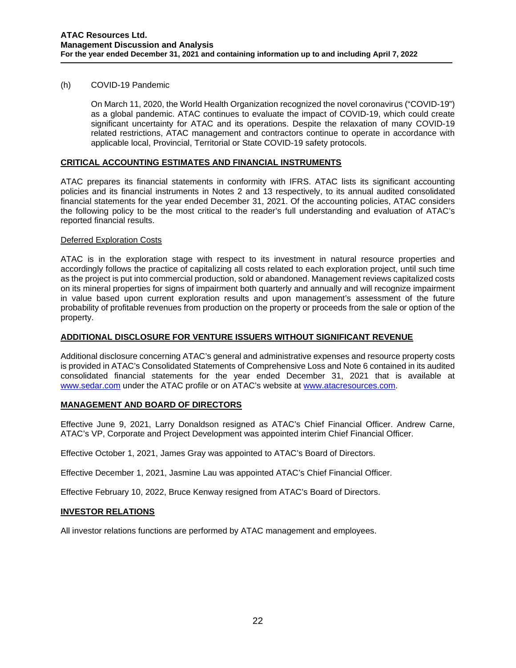### (h) COVID-19 Pandemic

On March 11, 2020, the World Health Organization recognized the novel coronavirus ("COVID-19") as a global pandemic. ATAC continues to evaluate the impact of COVID-19, which could create significant uncertainty for ATAC and its operations. Despite the relaxation of many COVID-19 related restrictions, ATAC management and contractors continue to operate in accordance with applicable local, Provincial, Territorial or State COVID-19 safety protocols.

# **CRITICAL ACCOUNTING ESTIMATES AND FINANCIAL INSTRUMENTS**

ATAC prepares its financial statements in conformity with IFRS. ATAC lists its significant accounting policies and its financial instruments in Notes 2 and 13 respectively, to its annual audited consolidated financial statements for the year ended December 31, 2021. Of the accounting policies, ATAC considers the following policy to be the most critical to the reader's full understanding and evaluation of ATAC's reported financial results.

### Deferred Exploration Costs

ATAC is in the exploration stage with respect to its investment in natural resource properties and accordingly follows the practice of capitalizing all costs related to each exploration project, until such time as the project is put into commercial production, sold or abandoned. Management reviews capitalized costs on its mineral properties for signs of impairment both quarterly and annually and will recognize impairment in value based upon current exploration results and upon management's assessment of the future probability of profitable revenues from production on the property or proceeds from the sale or option of the property.

## **ADDITIONAL DISCLOSURE FOR VENTURE ISSUERS WITHOUT SIGNIFICANT REVENUE**

Additional disclosure concerning ATAC's general and administrative expenses and resource property costs is provided in ATAC's Consolidated Statements of Comprehensive Loss and Note 6 contained in its audited consolidated financial statements for the year ended December 31, 2021 that is available at [www.sedar.com](http://www.sedar.com/) under the ATAC profile or on ATAC's website at [www.atacresources.com.](http://www.atacresources.com/)

# **MANAGEMENT AND BOARD OF DIRECTORS**

Effective June 9, 2021, Larry Donaldson resigned as ATAC's Chief Financial Officer. Andrew Carne, ATAC's VP, Corporate and Project Development was appointed interim Chief Financial Officer.

Effective October 1, 2021, James Gray was appointed to ATAC's Board of Directors.

Effective December 1, 2021, Jasmine Lau was appointed ATAC's Chief Financial Officer.

Effective February 10, 2022, Bruce Kenway resigned from ATAC's Board of Directors.

### **INVESTOR RELATIONS**

All investor relations functions are performed by ATAC management and employees.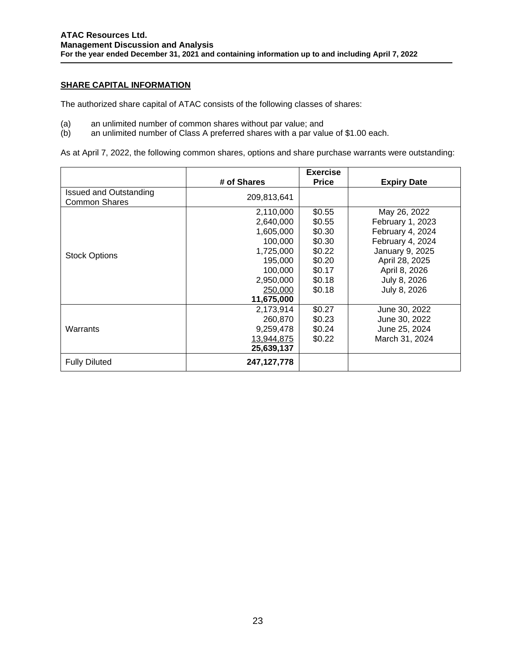## **SHARE CAPITAL INFORMATION**

The authorized share capital of ATAC consists of the following classes of shares:

- (a) an unlimited number of common shares without par value; and<br>(b) an unlimited number of Class A preferred shares with a par valu
- an unlimited number of Class A preferred shares with a par value of \$1.00 each.

As at April 7, 2022, the following common shares, options and share purchase warrants were outstanding:

|                        |             | <b>Exercise</b> |                    |
|------------------------|-------------|-----------------|--------------------|
|                        | # of Shares | <b>Price</b>    | <b>Expiry Date</b> |
| Issued and Outstanding | 209,813,641 |                 |                    |
| <b>Common Shares</b>   |             |                 |                    |
|                        | 2,110,000   | \$0.55          | May 26, 2022       |
|                        | 2,640,000   | \$0.55          | February 1, 2023   |
|                        | 1,605,000   | \$0.30          | February 4, 2024   |
|                        | 100,000     | \$0.30          | February 4, 2024   |
| <b>Stock Options</b>   | 1,725,000   | \$0.22          | January 9, 2025    |
|                        | 195,000     | \$0.20          | April 28, 2025     |
|                        | 100,000     | \$0.17          | April 8, 2026      |
|                        | 2,950,000   | \$0.18          | July 8, 2026       |
|                        | 250,000     | \$0.18          | July 8, 2026       |
|                        | 11,675,000  |                 |                    |
|                        | 2,173,914   | \$0.27          | June 30, 2022      |
|                        | 260,870     | \$0.23          | June 30, 2022      |
| Warrants               | 9,259,478   | \$0.24          | June 25, 2024      |
|                        | 13,944,875  | \$0.22          | March 31, 2024     |
|                        | 25,639,137  |                 |                    |
| <b>Fully Diluted</b>   | 247,127,778 |                 |                    |